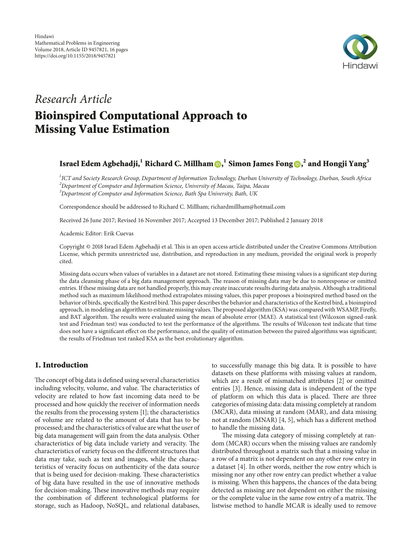

# *Research Article* **Bioinspired Computational Approach to Missing Value Estimation**

# **Israel Edem Agbehadji,1 Richard C. Millha[m](http://orcid.org/0000-0002-7970-9615) , <sup>1</sup> Simon James Fong [,](http://orcid.org/0000-0002-1848-7246) <sup>2</sup> and Hongji Yang<sup>3</sup>**

*1 ICT and Society Research Group, Department of Information Technology, Durban University of Technology, Durban, South Africa 2 Department of Computer and Information Science, University of Macau, Taipa, Macau 3 Department of Computer and Information Science, Bath Spa University, Bath, UK*

Correspondence should be addressed to Richard C. Millham; richardmillham@hotmail.com

Received 26 June 2017; Revised 16 November 2017; Accepted 13 December 2017; Published 2 January 2018

Academic Editor: Erik Cuevas

Copyright © 2018 Israel Edem Agbehadji et al. This is an open access article distributed under the Creative Commons Attribution License, which permits unrestricted use, distribution, and reproduction in any medium, provided the original work is properly cited.

Missing data occurs when values of variables in a dataset are not stored. Estimating these missing values is a significant step during the data cleansing phase of a big data management approach. The reason of missing data may be due to nonresponse or omitted entries. If these missing data are not handled properly, this may create inaccurate results during data analysis. Although a traditional method such as maximum likelihood method extrapolates missing values, this paper proposes a bioinspired method based on the behavior of birds, specifically the Kestrel bird.This paper describes the behavior and characteristics of the Kestrel bird, a bioinspired approach, in modeling an algorithm to estimate missing values.The proposed algorithm (KSA) was compared with WSAMP, Firefly, and BAT algorithm. The results were evaluated using the mean of absolute error (MAE). A statistical test (Wilcoxon signed-rank test and Friedman test) was conducted to test the performance of the algorithms. The results of Wilcoxon test indicate that time does not have a significant effect on the performance, and the quality of estimation between the paired algorithms was significant; the results of Friedman test ranked KSA as the best evolutionary algorithm.

## **1. Introduction**

The concept of big data is defined using several characteristics including velocity, volume, and value. The characteristics of velocity are related to how fast incoming data need to be processed and how quickly the receiver of information needs the results from the processing system [\[1\]](#page-14-0); the characteristics of volume are related to the amount of data that has to be processed; and the characteristics of value are what the user of big data management will gain from the data analysis. Other characteristics of big data include variety and veracity. The characteristics of variety focus on the different structures that data may take, such as text and images, while the characteristics of veracity focus on authenticity of the data source that is being used for decision-making. These characteristics of big data have resulted in the use of innovative methods for decision-making. These innovative methods may require the combination of different technological platforms for storage, such as Hadoop, NoSQL, and relational databases,

to successfully manage this big data. It is possible to have datasets on these platforms with missing values at random, which are a result of mismatched attributes [\[2](#page-14-1)] or omitted entries [\[3\]](#page-14-2). Hence, missing data is independent of the type of platform on which this data is placed. There are three categories of missing data: data missing completely at random (MCAR), data missing at random (MAR), and data missing not at random (MNAR) [\[4,](#page-14-3) [5](#page-14-4)], which has a different method to handle the missing data.

The missing data category of missing completely at random (MCAR) occurs when the missing values are randomly distributed throughout a matrix such that a missing value in a row of a matrix is not dependent on any other row entry in a dataset [\[4\]](#page-14-3). In other words, neither the row entry which is missing nor any other row entry can predict whether a value is missing. When this happens, the chances of the data being detected as missing are not dependent on either the missing or the complete value in the same row entry of a matrix. The listwise method to handle MCAR is ideally used to remove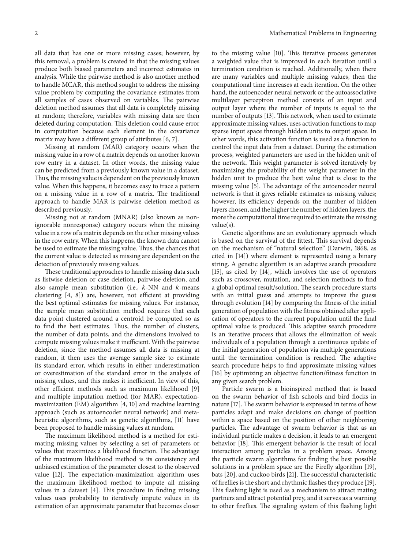all data that has one or more missing cases; however, by this removal, a problem is created in that the missing values produce both biased parameters and incorrect estimates in analysis. While the pairwise method is also another method to handle MCAR, this method sought to address the missing value problem by computing the covariance estimates from all samples of cases observed on variables. The pairwise deletion method assumes that all data is completely missing at random; therefore, variables with missing data are then deleted during computation. This deletion could cause error in computation because each element in the covariance matrix may have a different group of attributes [\[6](#page-14-5), [7](#page-14-6)].

Missing at random (MAR) category occurs when the missing value in a row of a matrix depends on another known row entry in a dataset. In other words, the missing value can be predicted from a previously known value in a dataset. Thus, the missing value is dependent on the previously known value. When this happens, it becomes easy to trace a pattern on a missing value in a row of a matrix. The traditional approach to handle MAR is pairwise deletion method as described previously.

Missing not at random (MNAR) (also known as nonignorable nonresponse) category occurs when the missing value in a row of a matrix depends on the other missing values in the row entry. When this happens, the known data cannot be used to estimate the missing value. Thus, the chances that the current value is detected as missing are dependent on the detection of previously missing values.

These traditional approaches to handle missing data such as listwise deletion or case deletion, pairwise deletion, and also sample mean substitution (i.e.,  $k$ -NN and  $k$ -means clustering [\[4,](#page-14-3) [8\]](#page-14-7)) are, however, not efficient at providing the best optimal estimates for missing values. For instance, the sample mean substitution method requires that each data point clustered around a centroid be computed so as to find the best estimates. Thus, the number of clusters, the number of data points, and the dimensions involved to compute missing values make it inefficient. With the pairwise deletion, since the method assumes all data is missing at random, it then uses the average sample size to estimate its standard error, which results in either underestimation or overestimation of the standard error in the analysis of missing values, and this makes it inefficient. In view of this, other efficient methods such as maximum likelihood [\[9](#page-14-8)] and multiple imputation method (for MAR), expectationmaximization (EM) algorithm [\[4](#page-14-3), [10\]](#page-14-9) and machine learning approach (such as autoencoder neural network) and metaheuristic algorithms, such as genetic algorithms, [\[11\]](#page-14-10) have been proposed to handle missing values at random.

The maximum likelihood method is a method for estimating missing values by selecting a set of parameters or values that maximizes a likelihood function. The advantage of the maximum likelihood method is its consistency and unbiased estimation of the parameter closest to the observed value [\[12](#page-15-0)]. The expectation-maximization algorithm uses the maximum likelihood method to impute all missing values in a dataset [\[4\]](#page-14-3). This procedure in finding missing values uses probability to iteratively impute values in its estimation of an approximate parameter that becomes closer

to the missing value [\[10\]](#page-14-9). This iterative process generates a weighted value that is improved in each iteration until a termination condition is reached. Additionally, when there are many variables and multiple missing values, then the computational time increases at each iteration. On the other hand, the autoencoder neural network or the autoassociative multilayer perceptron method consists of an input and output layer where the number of inputs is equal to the number of outputs [\[13](#page-15-1)]. This network, when used to estimate approximate missing values, uses activation functions to map sparse input space through hidden units to output space. In other words, this activation function is used as a function to control the input data from a dataset. During the estimation process, weighted parameters are used in the hidden unit of the network. This weight parameter is solved iteratively by maximizing the probability of the weight parameter in the hidden unit to produce the best value that is close to the missing value [\[5](#page-14-4)]. The advantage of the autoencoder neural network is that it gives reliable estimates as missing values; however, its efficiency depends on the number of hidden layers chosen, and the higher the number of hidden layers, the more the computational time required to estimate the missing value(s).

Genetic algorithms are an evolutionary approach which is based on the survival of the fittest. This survival depends on the mechanism of "natural selection" (Darwin, 1868, as cited in [\[14](#page-15-2)]) where element is represented using a binary string. A genetic algorithm is an adaptive search procedure [\[15\]](#page-15-3), as cited by [\[14](#page-15-2)], which involves the use of operators such as crossover, mutation, and selection methods to find a global optimal result/solution. The search procedure starts with an initial guess and attempts to improve the guess through evolution [\[14\]](#page-15-2) by comparing the fitness of the initial generation of population with the fitness obtained after application of operators to the current population until the final optimal value is produced. This adaptive search procedure is an iterative process that allows the elimination of weak individuals of a population through a continuous update of the initial generation of population via multiple generations until the termination condition is reached. The adaptive search procedure helps to find approximate missing values [\[16](#page-15-4)] by optimizing an objective function/fitness function in any given search problem.

Particle swarm is a bioinspired method that is based on the swarm behavior of fish schools and bird flocks in nature [\[17\]](#page-15-5). The swarm behavior is expressed in terms of how particles adapt and make decisions on change of position within a space based on the position of other neighboring particles. The advantage of swarm behavior is that as an individual particle makes a decision, it leads to an emergent behavior [\[18](#page-15-6)]. This emergent behavior is the result of local interaction among particles in a problem space. Among the particle swarm algorithms for finding the best possible solutions in a problem space are the Firefly algorithm [\[19](#page-15-7)], bats [\[20\]](#page-15-8), and cuckoo birds [\[21\]](#page-15-9). The successful characteristic of fireflies is the short and rhythmic flashes they produce [\[19\]](#page-15-7). This flashing light is used as a mechanism to attract mating partners and attract potential prey, and it serves as a warning to other fireflies. The signaling system of this flashing light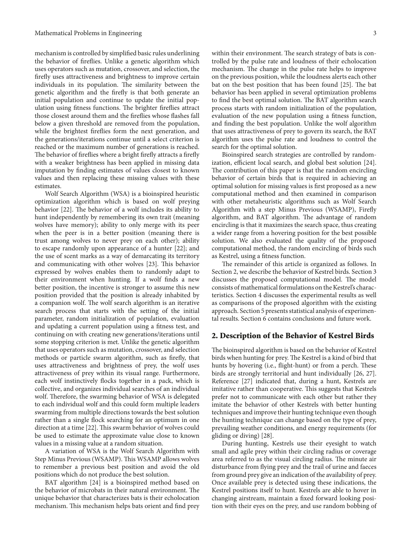mechanism is controlled by simplified basic rules underlining the behavior of fireflies. Unlike a genetic algorithm which uses operators such as mutation, crossover, and selection, the firefly uses attractiveness and brightness to improve certain individuals in its population. The similarity between the genetic algorithm and the firefly is that both generate an initial population and continue to update the initial population using fitness functions. The brighter fireflies attract those closest around them and the fireflies whose flashes fall below a given threshold are removed from the population, while the brightest fireflies form the next generation, and the generations/iterations continue until a select criterion is reached or the maximum number of generations is reached. The behavior of fireflies where a bright firefly attracts a firefly with a weaker brightness has been applied in missing data imputation by finding estimates of values closest to known values and then replacing these missing values with these estimates.

Wolf Search Algorithm (WSA) is a bioinspired heuristic optimization algorithm which is based on wolf preying behavior [\[22](#page-15-10)]. The behavior of a wolf includes its ability to hunt independently by remembering its own trait (meaning wolves have memory); ability to only merge with its peer when the peer is in a better position (meaning there is trust among wolves to never prey on each other); ability to escape randomly upon appearance of a hunter [\[22\]](#page-15-10); and the use of scent marks as a way of demarcating its territory and communicating with other wolves [\[23\]](#page-15-11). This behavior expressed by wolves enables them to randomly adapt to their environment when hunting. If a wolf finds a new better position, the incentive is stronger to assume this new position provided that the position is already inhabited by a companion wolf. The wolf search algorithm is an iterative search process that starts with the setting of the initial parameter, random initialization of population, evaluation and updating a current population using a fitness test, and continuing on with creating new generations/iterations until some stopping criterion is met. Unlike the genetic algorithm that uses operators such as mutation, crossover, and selection methods or particle swarm algorithm, such as firefly, that uses attractiveness and brightness of prey, the wolf uses attractiveness of prey within its visual range. Furthermore, each wolf instinctively flocks together in a pack, which is collective, and organizes individual searches of an individual wolf. Therefore, the swarming behavior of WSA is delegated to each individual wolf and this could form multiple leaders swarming from multiple directions towards the best solution rather than a single flock searching for an optimum in one direction at a time [\[22](#page-15-10)]. This swarm behavior of wolves could be used to estimate the approximate value close to known values in a missing value at a random situation.

A variation of WSA is the Wolf Search Algorithm with Step Minus Previous (WSAMP). This WSAMP allows wolves to remember a previous best position and avoid the old positions which do not produce the best solution.

BAT algorithm [\[24\]](#page-15-12) is a bioinspired method based on the behavior of microbats in their natural environment. The unique behavior that characterizes bats is their echolocation mechanism. This mechanism helps bats orient and find prey

within their environment. The search strategy of bats is controlled by the pulse rate and loudness of their echolocation mechanism. The change in the pulse rate helps to improve on the previous position, while the loudness alerts each other bat on the best position that has been found [\[25\]](#page-15-13). The bat behavior has been applied in several optimization problems to find the best optimal solution. The BAT algorithm search process starts with random initialization of the population, evaluation of the new population using a fitness function, and finding the best population. Unlike the wolf algorithm that uses attractiveness of prey to govern its search, the BAT algorithm uses the pulse rate and loudness to control the search for the optimal solution.

Bioinspired search strategies are controlled by randomization, efficient local search, and global best solution [\[24\]](#page-15-12). The contribution of this paper is that the random encircling behavior of certain birds that is required in achieving an optimal solution for missing values is first proposed as a new computational method and then examined in comparison with other metaheuristic algorithms such as Wolf Search Algorithm with a step Minus Previous (WSAMP), Firefly algorithm, and BAT algorithm. The advantage of random encircling is that it maximizes the search space, thus creating a wider range from a hovering position for the best possible solution. We also evaluated the quality of the proposed computational method, the random encircling of birds such as Kestrel, using a fitness function.

The remainder of this article is organized as follows. In Section [2,](#page-2-0) we describe the behavior of Kestrel birds. Section [3](#page-3-0) discusses the proposed computational model. The model consists of mathematical formulations on the Kestrel's characteristics. Section [4](#page-6-0) discusses the experimental results as well as comparisons of the proposed algorithm with the existing approach. Section [5](#page-9-0) presents statistical analysis of experimental results. Section [6](#page-14-11) contains conclusions and future work.

#### <span id="page-2-0"></span>**2. Description of the Behavior of Kestrel Birds**

The bioinspired algorithm is based on the behavior of Kestrel birds when hunting for prey. The Kestrel is a kind of bird that hunts by hovering (i.e., flight-hunt) or from a perch. These birds are strongly territorial and hunt individually [\[26](#page-15-14), [27](#page-15-15)]. Reference [\[27\]](#page-15-15) indicated that, during a hunt, Kestrels are imitative rather than cooperative. This suggests that Kestrels prefer not to communicate with each other but rather they imitate the behavior of other Kestrels with better hunting techniques and improve their hunting technique even though the hunting technique can change based on the type of prey, prevailing weather conditions, and energy requirements (for gliding or diving) [\[28](#page-15-16)].

During hunting, Kestrels use their eyesight to watch small and agile prey within their circling radius or coverage area referred to as the visual circling radius. The minute air disturbance from flying prey and the trail of urine and faeces from ground prey give an indication of the availability of prey. Once available prey is detected using these indications, the Kestrel positions itself to hunt. Kestrels are able to hover in changing airstream, maintain a fixed forward looking position with their eyes on the prey, and use random bobbing of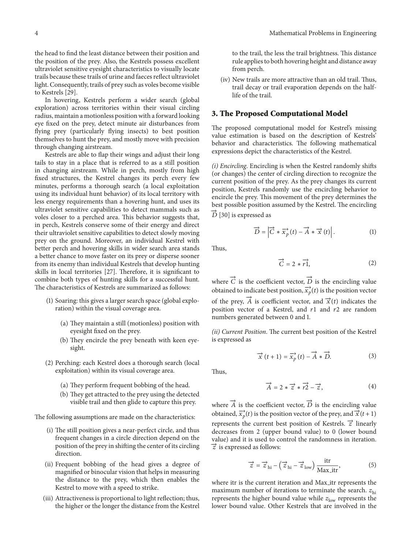the head to find the least distance between their position and the position of the prey. Also, the Kestrels possess excellent ultraviolet sensitive eyesight characteristics to visually locate trails because these trails of urine and faeces reflect ultraviolet light. Consequently, trails of prey such as voles become visible to Kestrels [\[29](#page-15-17)].

In hovering, Kestrels perform a wider search (global exploration) across territories within their visual circling radius, maintain a motionless position with a forward looking eye fixed on the prey, detect minute air disturbances from flying prey (particularly flying insects) to best position themselves to hunt the prey, and mostly move with precision through changing airstream.

Kestrels are able to flap their wings and adjust their long tails to stay in a place that is referred to as a still position in changing airstream. While in perch, mostly from high fixed structures, the Kestrel changes its perch every few minutes, performs a thorough search (a local exploitation using its individual hunt behavior) of its local territory with less energy requirements than a hovering hunt, and uses its ultraviolet sensitive capabilities to detect mammals such as voles closer to a perched area. This behavior suggests that, in perch, Kestrels conserve some of their energy and direct their ultraviolet sensitive capabilities to detect slowly moving prey on the ground. Moreover, an individual Kestrel with better perch and hovering skills in wider search area stands a better chance to move faster on its prey or disperse sooner from its enemy than individual Kestrels that develop hunting skills in local territories [\[27\]](#page-15-15). Therefore, it is significant to combine both types of hunting skills for a successful hunt. The characteristics of Kestrels are summarized as follows:

- (1) Soaring: this gives a larger search space (global exploration) within the visual coverage area.
	- (a) They maintain a still (motionless) position with eyesight fixed on the prey.
	- (b) They encircle the prey beneath with keen eyesight.
- (2) Perching: each Kestrel does a thorough search (local exploitation) within its visual coverage area.
	- (a) They perform frequent bobbing of the head.
	- (b) They get attracted to the prey using the detected visible trail and then glide to capture this prey.
- The following assumptions are made on the characteristics:
	- (i) The still position gives a near-perfect circle, and thus frequent changes in a circle direction depend on the position of the prey in shifting the center of its circling direction.
	- (ii) Frequent bobbing of the head gives a degree of magnified or binocular vision that helps in measuring the distance to the prey, which then enables the Kestrel to move with a speed to strike.
	- (iii) Attractiveness is proportional to light reflection; thus, the higher or the longer the distance from the Kestrel

to the trail, the less the trail brightness. This distance rule applies to both hovering height and distance away from perch.

(iv) New trails are more attractive than an old trail. Thus, trail decay or trail evaporation depends on the halflife of the trail.

#### <span id="page-3-0"></span>**3. The Proposed Computational Model**

The proposed computational model for Kestrel's missing value estimation is based on the description of Kestrels' behavior and characteristics. The following mathematical expressions depict the characteristics of the Kestrel.

*(i) Encircling*. Encircling is when the Kestrel randomly shifts (or changes) the center of circling direction to recognize the current position of the prey. As the prey changes its current position, Kestrels randomly use the encircling behavior to encircle the prey. This movement of the prey determines the best possible position assumed by the Kestrel. The encircling  $\overrightarrow{D}$  [\[30\]](#page-15-18) is expressed as

$$
\overrightarrow{D} = \left| \overrightarrow{C} * \overrightarrow{x_p} (t) - \overrightarrow{A} * \overrightarrow{x} (t) \right|. \tag{1}
$$

Thus,

$$
\overrightarrow{C} = 2 * \overrightarrow{r1}, \qquad (2)
$$

where  $\vec{C}$  is the coefficient vector,  $\vec{D}$  is the encircling value obtained to indicate best position,  $\overrightarrow{x_p}(t)$  is the position vector of the prey,  $\overrightarrow{A}$  is coefficient vector, and  $\overrightarrow{x}(t)$  indicates the position vector of a Kestrel, and  $r1$  and  $r2$  are random numbers generated between 0 and 1.

*(ii) Current Position*. The current best position of the Kestrel is expressed as

$$
\overrightarrow{x}(t+1) = \overrightarrow{x_p}(t) - \overrightarrow{A} * \overrightarrow{D}.
$$
 (3)

Thus,

<span id="page-3-1"></span>
$$
\overrightarrow{A} = 2 * \overrightarrow{z} * \overrightarrow{r2} - \overrightarrow{z}, \qquad (4)
$$

where  $\overrightarrow{A}$  is the coefficient vector,  $\overrightarrow{D}$  is the encircling value obtained,  $\vec{x}_p(t)$  is the position vector of the prey, and  $\vec{x}(t+1)$ represents the current best position of Kestrels.  $\vec{z}$  linearly decreases from 2 (upper bound value) to 0 (lower bound value) and it is used to control the randomness in iteration.  $\vec{z}$  is expressed as follows:

<span id="page-3-2"></span>
$$
\vec{z} = \vec{z}_{hi} - (\vec{z}_{hi} - \vec{z}_{low}) \frac{\text{itr}}{\text{Max\_itr}},
$$
 (5)

where itr is the current iteration and Max itr represents the maximum number of iterations to terminate the search.  $z_{hi}$ represents the higher bound value while  $z_{\text{low}}$  represents the lower bound value. Other Kestrels that are involved in the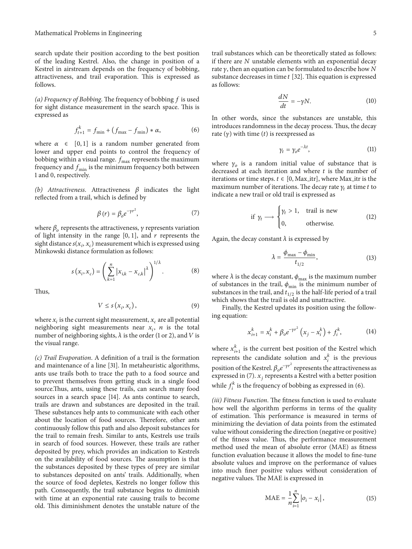search update their position according to the best position of the leading Kestrel. Also, the change in position of a Kestrel in airstream depends on the frequency of bobbing, attractiveness, and trail evaporation. This is expressed as follows.

(a) Frequency of Bobbing. The frequency of bobbing  $f$  is used for sight distance measurement in the search space. This is expressed as

$$
f_{t+1}^{k} = f_{\min} + (f_{\max} - f_{\min}) * \alpha,
$$
 (6)

where  $\alpha \in [0, 1]$  is a random number generated from lower and upper end points to control the frequency of bobbing within a visual range.  $f_{\text{max}}$  represents the maximum frequency and  $f_{\text{min}}$  is the minimum frequency both between 1 and 0, respectively.

(b) Attractiveness. Attractiveness  $\beta$  indicates the light reflected from a trail, which is defined by

$$
\beta(r) = \beta_o e^{-\gamma r^2},\tag{7}
$$

where  $\beta_0$  represents the attractiveness,  $\gamma$  represents variation of light intensity in the range  $[0, 1]$ , and  $r$  represents the sight distance  $s(x_i, x_c)$  measurement which is expressed using Minkowski distance formulation as follows:

$$
s(x_i, x_c) = \left(\sum_{k=1}^n |x_{i,k} - x_{c,k}|^{\lambda}\right)^{1/\lambda}.
$$
 (8)

Thus,

$$
V \leq s\left(x_i, x_c\right),\tag{9}
$$

where  $x_i$  is the current sight measurement,  $x_c$  are all potential neighboring sight measurements near  $x_i$ , *n* is the total number of neighboring sights,  $\lambda$  is the order (1 or 2), and V is the visual range.

*(c) Trail Evaporation*. A definition of a trail is the formation and maintenance of a line [\[31](#page-15-19)]. In metaheuristic algorithms, ants use trails both to trace the path to a food source and to prevent themselves from getting stuck in a single food source.Thus, ants, using these trails, can search many food sources in a search space [\[14\]](#page-15-2). As ants continue to search, trails are drawn and substances are deposited in the trail. These substances help ants to communicate with each other about the location of food sources. Therefore, other ants continuously follow this path and also deposit substances for the trail to remain fresh. Similar to ants, Kestrels use trails in search of food sources. However, these trails are rather deposited by prey, which provides an indication to Kestrels on the availability of food sources. The assumption is that the substances deposited by these types of prey are similar to substances deposited on ants' trails. Additionally, when the source of food depletes, Kestrels no longer follow this path. Consequently, the trail substance begins to diminish with time at an exponential rate causing trails to become old. This diminishment denotes the unstable nature of the trail substances which can be theoretically stated as follows: if there are  $N$  unstable elements with an exponential decay rate  $\gamma$ , then an equation can be formulated to describe how N substance decreases in time  $t$  [\[32\]](#page-15-20). This equation is expressed as follows:

$$
\frac{dN}{dt} = -\gamma N.\tag{10}
$$

<span id="page-4-1"></span>In other words, since the substances are unstable, this introduces randomness in the decay process. Thus, the decay rate  $(y)$  with time  $(t)$  is reexpressed as

<span id="page-4-2"></span>
$$
\gamma_t = \gamma_o e^{-\lambda t},\tag{11}
$$

where  $\gamma_o$  is a random initial value of substance that is decreased at each iteration and where  $t$  is the number of iterations or time steps.  $t \in [0, \text{Max}\_ \text{itr}],$  where Max $\_ \text{itr}$  is the maximum number of iterations. The decay rate  $\gamma_t$  at time t to indicate a new trail or old trail is expressed as

$$
\text{if } \gamma_t \longrightarrow \begin{cases} \gamma_t > 1, \quad \text{trail is new} \\ 0, \quad \text{otherwise.} \end{cases} \tag{12}
$$

<span id="page-4-0"></span>Again, the decay constant  $\lambda$  is expressed by

$$
\lambda = \frac{\phi_{\text{max}} - \phi_{\text{min}}}{t_{1/2}},\tag{13}
$$

where  $\lambda$  is the decay constant,  $\phi_{\text{max}}$  is the maximum number of substances in the trail,  $\phi_{\min}$  is the minimum number of substances in the trail, and  $t_{1/2}$  is the half-life period of a trail which shows that the trail is old and unattractive.

Finally, the Kestrel updates its position using the following equation:

<span id="page-4-3"></span>
$$
x_{i+1}^k = x_i^k + \beta_0 e^{-\gamma r^2} \left( x_j - x_i^k \right) + f_i^k, \tag{14}
$$

where  $x_{i+1}^k$  is the current best position of the Kestrel which represents the candidate solution and  $x_i^k$  is the previous position of the Kestrel.  $\beta_o e^{-\gamma r^2}$  represents the attractiveness as expressed in [\(7\).](#page-4-0)  $x_j$  represents a Kestrel with a better position while  $f_i^k$  is the frequency of bobbing as expressed in [\(6\).](#page-4-1)

*(iii) Fitness Function*. The fitness function is used to evaluate how well the algorithm performs in terms of the quality of estimation. This performance is measured in terms of minimizing the deviation of data points from the estimated value without considering the direction (negative or positive) of the fitness value. Thus, the performance measurement method used the mean of absolute error (MAE) as fitness function evaluation because it allows the model to fine-tune absolute values and improve on the performance of values into much finer positive values without consideration of negative values. The MAE is expressed in

$$
MAE = \frac{1}{n} \sum_{i=1}^{n} |o_i - x_i|,
$$
 (15)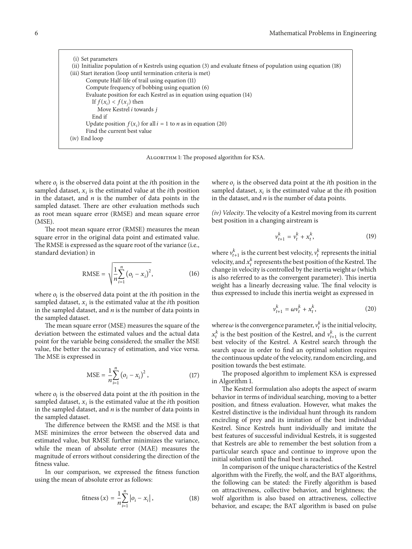(i) Set parameters (ii) Initialize population of  $n$  Kestrels using equation [\(3\)](#page-3-1) and evaluate fitness of population using equation [\(18\)](#page-5-0) (iii) Start iteration (loop until termination criteria is met) Compute Half-life of trail using equation [\(11\)](#page-4-2) Compute frequency of bobbing using equation [\(6\)](#page-4-1) Evaluate position for each Kestrel as in equation using equation [\(14\)](#page-4-3) If  $f(x_i) < f(x_i)$  then Move Kestrel  $i$  towards  $j$ End if Update position  $f(x_i)$  for all  $i = 1$  to  $n$  as in equation [\(20\)](#page-5-1) Find the current best value (iv) End loop

Algorithm 1: The proposed algorithm for KSA.

where  $o_i$  is the observed data point at the *i*th position in the sampled dataset,  $x_i$  is the estimated value at the *i*th position in the dataset, and  $n$  is the number of data points in the sampled dataset. There are other evaluation methods such as root mean square error (RMSE) and mean square error (MSE).

The root mean square error (RMSE) measures the mean square error in the original data point and estimated value. The RMSE is expressed as the square root of the variance (i.e., standard deviation) in

RMSE = 
$$
\sqrt{\frac{1}{n} \sum_{i=1}^{n} (o_i - x_i)^2}
$$
, (16)

where  $o_i$  is the observed data point at the *i*th position in the sampled dataset,  $x_i$  is the estimated value at the *i*th position in the sampled dataset, and  $n$  is the number of data points in the sampled dataset.

The mean square error (MSE) measures the square of the deviation between the estimated values and the actual data point for the variable being considered; the smaller the MSE value, the better the accuracy of estimation, and vice versa. The MSE is expressed in

$$
MSE = \frac{1}{n} \sum_{i=1}^{n} (o_i - x_i)^2, \qquad (17)
$$

where  $o_i$  is the observed data point at the *i*th position in the sampled dataset,  $x_i$  is the estimated value at the *i*th position in the sampled dataset, and  $n$  is the number of data points in the sampled dataset.

The difference between the RMSE and the MSE is that MSE minimizes the error between the observed data and estimated value, but RMSE further minimizes the variance, while the mean of absolute error (MAE) measures the magnitude of errors without considering the direction of the fitness value.

In our comparison, we expressed the fitness function using the mean of absolute error as follows:

fitness (x) = 
$$
\frac{1}{n} \sum_{i=1}^{n} |o_i - x_i|
$$
, (18)

<span id="page-5-2"></span>where  $o_i$  is the observed data point at the *i*th position in the sampled dataset,  $x_i$  is the estimated value at the *i*th position in the dataset, and  $n$  is the number of data points.

*(iv) Velocity*. The velocity of a Kestrel moving from its current best position in a changing airstream is

$$
v_{t+1}^k = v_t^k + x_t^k,
$$
 (19)

where  $v_{t+1}^k$  is the current best velocity,  $v_t^k$  represents the initial velocity, and  $x_t^k$  represents the best position of the Kestrel. The change in velocity is controlled by the inertia weight  $\omega$  (which is also referred to as the convergent parameter). This inertia weight has a linearly decreasing value. The final velocity is thus expressed to include this inertia weight as expressed in

<span id="page-5-1"></span>
$$
\nu_{t+1}^k = \omega \nu_t^k + x_t^k, \tag{20}
$$

where  $\omega$  is the convergence parameter,  $v_t^k$  is the initial velocity,  $x_t^k$  is the best position of the Kestrel, and  $v_{t+1}^k$  is the current best velocity of the Kestrel. A Kestrel search through the search space in order to find an optimal solution requires the continuous update of the velocity, random encircling, and position towards the best estimate.

The proposed algorithm to implement KSA is expressed in Algorithm [1.](#page-5-2)

The Kestrel formulation also adopts the aspect of swarm behavior in terms of individual searching, moving to a better position, and fitness evaluation. However, what makes the Kestrel distinctive is the individual hunt through its random encircling of prey and its imitation of the best individual Kestrel. Since Kestrels hunt individually and imitate the best features of successful individual Kestrels, it is suggested that Kestrels are able to remember the best solution from a particular search space and continue to improve upon the initial solution until the final best is reached.

<span id="page-5-0"></span>In comparison of the unique characteristics of the Kestrel algorithm with the Firefly, the wolf, and the BAT algorithms, the following can be stated: the Firefly algorithm is based on attractiveness, collective behavior, and brightness; the wolf algorithm is also based on attractiveness, collective behavior, and escape; the BAT algorithm is based on pulse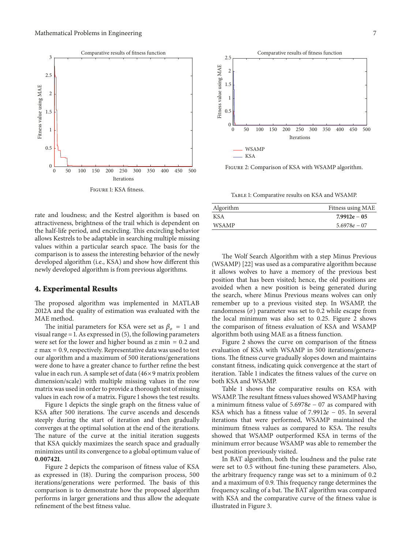

<span id="page-6-1"></span>rate and loudness; and the Kestrel algorithm is based on attractiveness, brightness of the trail which is dependent on the half-life period, and encircling. This encircling behavior allows Kestrels to be adaptable in searching multiple missing values within a particular search space. The basis for the comparison is to assess the interesting behavior of the newly developed algorithm (i.e., KSA) and show how different this newly developed algorithm is from previous algorithms.

#### <span id="page-6-0"></span>**4. Experimental Results**

The proposed algorithm was implemented in MATLAB 2012A and the quality of estimation was evaluated with the MAE method.

The initial parameters for KSA were set as  $\beta_0 = 1$  and visual range = 1. As expressed in [\(5\),](#page-3-2) the following parameters were set for the lower and higher bound as  $z$  min = 0.2 and  $z$  max = 0.9, respectively. Representative data was used to test our algorithm and a maximum of 500 iterations/generations were done to have a greater chance to further refine the best value in each run. A sample set of data (46×9 matrix problem dimension/scale) with multiple missing values in the row matrix was used in order to provide a thorough test of missing values in each row of a matrix. Figure [1](#page-6-1) shows the test results.

Figure [1](#page-6-1) depicts the single graph on the fitness value of KSA after 500 iterations. The curve ascends and descends steeply during the start of iteration and then gradually converges at the optimal solution at the end of the iterations. The nature of the curve at the initial iteration suggests that KSA quickly maximizes the search space and gradually minimizes until its convergence to a global optimum value of **0.007421**.

Figure [2](#page-6-2) depicts the comparison of fitness value of KSA as expressed in [\(18\).](#page-5-0) During the comparison process, 500 iterations/generations were performed. The basis of this comparison is to demonstrate how the proposed algorithm performs in larger generations and thus allow the adequate refinement of the best fitness value.



<span id="page-6-2"></span>Figure 2: Comparison of KSA with WSAMP algorithm.

<span id="page-6-3"></span>TABLE 1: Comparative results on KSA and WSAMP.

| Algorithm    | Fitness using MAE |
|--------------|-------------------|
| KS A         | $7.9912e - 05$    |
| <b>WSAMP</b> | $5.6978e - 07$    |

The Wolf Search Algorithm with a step Minus Previous (WSAMP) [\[22\]](#page-15-10) was used as a comparative algorithm because it allows wolves to have a memory of the previous best position that has been visited; hence, the old positions are avoided when a new position is being generated during the search, where Minus Previous means wolves can only remember up to a previous visited step. In WSAMP, the randomness  $(\sigma)$  parameter was set to 0.2 while escape from the local minimum was also set to 0.25. Figure [2](#page-6-2) shows the comparison of fitness evaluation of KSA and WSAMP algorithm both using MAE as a fitness function.

Figure [2](#page-6-2) shows the curve on comparison of the fitness evaluation of KSA with WSAMP in 500 iterations/generations. The fitness curve gradually slopes down and maintains constant fitness, indicating quick convergence at the start of iteration. Table [1](#page-6-3) indicates the fitness values of the curve on both KSA and WSAMP.

Table [1](#page-6-3) shows the comparative results on KSA with WSAMP.The resultant fitness values showed WSAMP having a minimum fitness value of  $5.6978e - 07$  as compared with KSA which has a fitness value of 7.9912e − 05. In several iterations that were performed, WSAMP maintained the minimum fitness values as compared to KSA. The results showed that WSAMP outperformed KSA in terms of the minimum error because WSAMP was able to remember the best position previously visited.

In BAT algorithm, both the loudness and the pulse rate were set to 0.5 without fine-tuning these parameters. Also, the arbitrary frequency range was set to a minimum of 0.2 and a maximum of 0.9. This frequency range determines the frequency scaling of a bat. The BAT algorithm was compared with KSA and the comparative curve of the fitness value is illustrated in Figure [3.](#page-7-0)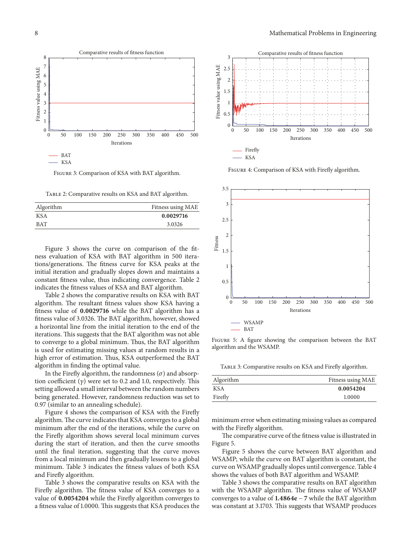

 $-$  KSA

<span id="page-7-0"></span>Figure 3: Comparison of KSA with BAT algorithm.

<span id="page-7-1"></span>TABLE 2: Comparative results on KSA and BAT algorithm.

| Fitness using MAE |
|-------------------|
| 0.0029716         |
| 3.0326            |
|                   |

Figure [3](#page-7-0) shows the curve on comparison of the fitness evaluation of KSA with BAT algorithm in 500 iterations/generations. The fitness curve for KSA peaks at the initial iteration and gradually slopes down and maintains a constant fitness value, thus indicating convergence. Table [2](#page-7-1) indicates the fitness values of KSA and BAT algorithm.

Table [2](#page-7-1) shows the comparative results on KSA with BAT algorithm. The resultant fitness values show KSA having a fitness value of **0.0029716** while the BAT algorithm has a fitness value of 3.0326. The BAT algorithm, however, showed a horizontal line from the initial iteration to the end of the iterations. This suggests that the BAT algorithm was not able to converge to a global minimum. Thus, the BAT algorithm is used for estimating missing values at random results in a high error of estimation. Thus, KSA outperformed the BAT algorithm in finding the optimal value.

In the Firefly algorithm, the randomness  $(\sigma)$  and absorption coefficient  $(y)$  were set to 0.2 and 1.0, respectively. This setting allowed a small interval between the random numbers being generated. However, randomness reduction was set to 0.97 (similar to an annealing schedule).

Figure [4](#page-7-2) shows the comparison of KSA with the Firefly algorithm.The curve indicates that KSA converges to a global minimum after the end of the iterations, while the curve on the Firefly algorithm shows several local minimum curves during the start of iteration, and then the curve smooths until the final iteration, suggesting that the curve moves from a local minimum and then gradually lessens to a global minimum. Table [3](#page-7-3) indicates the fitness values of both KSA and Firefly algorithm.

Table [3](#page-7-3) shows the comparative results on KSA with the Firefly algorithm. The fitness value of KSA converges to a value of **0.0054204** while the Firefly algorithm converges to a fitness value of 1.0000. This suggests that KSA produces the



<span id="page-7-2"></span>Figure 4: Comparison of KSA with Firefly algorithm.



<span id="page-7-4"></span>Figure 5: A figure showing the comparison between the BAT algorithm and the WSAMP.

<span id="page-7-3"></span>TABLE 3: Comparative results on KSA and Firefly algorithm.

| Algorithm  | Fitness using MAE |
|------------|-------------------|
| <b>KSA</b> | 0.0054204         |
| Firefly    | 1.0000            |

minimum error when estimating missing values as compared with the Firefly algorithm.

The comparative curve of the fitness value is illustrated in Figure [5.](#page-7-4)

Figure [5](#page-7-4) shows the curve between BAT algorithm and WSAMP; while the curve on BAT algorithm is constant, the curve on WSAMP gradually slopes until convergence. Table [4](#page-8-0) shows the values of both BAT algorithm and WSAMP.

Table [3](#page-7-3) shows the comparative results on BAT algorithm with the WSAMP algorithm. The fitness value of WSAMP converges to a value of **1.4864e** − **7** while the BAT algorithm was constant at 3.1703. This suggests that WSAMP produces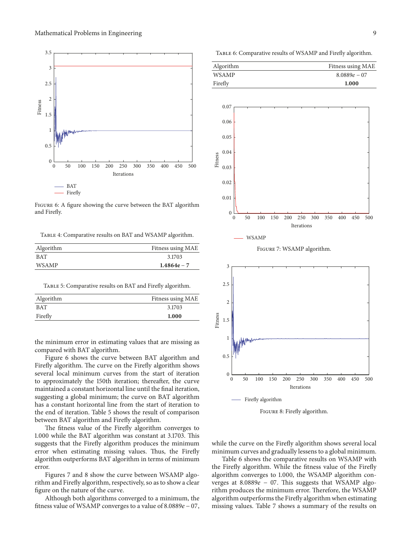

<span id="page-8-1"></span>Figure 6: A figure showing the curve between the BAT algorithm and Firefly.

<span id="page-8-0"></span>TABLE 4: Comparative results on BAT and WSAMP algorithm.

| Algorithm    | Fitness using MAE |
|--------------|-------------------|
| <b>BAT</b>   | 3.1703            |
| <b>WSAMP</b> | $1.4864e - 7$     |

<span id="page-8-2"></span>Table 5: Comparative results on BAT and Firefly algorithm.

| Algorithm  | Fitness using MAE |
|------------|-------------------|
| <b>BAT</b> | 3.1703            |
| Firefly    | 1.000             |

the minimum error in estimating values that are missing as compared with BAT algorithm.

Figure [6](#page-8-1) shows the curve between BAT algorithm and Firefly algorithm. The curve on the Firefly algorithm shows several local minimum curves from the start of iteration to approximately the 150th iteration; thereafter, the curve maintained a constant horizontal line until the final iteration, suggesting a global minimum; the curve on BAT algorithm has a constant horizontal line from the start of iteration to the end of iteration. Table [5](#page-8-2) shows the result of comparison between BAT algorithm and Firefly algorithm.

The fitness value of the Firefly algorithm converges to 1.000 while the BAT algorithm was constant at 3.1703. This suggests that the Firefly algorithm produces the minimum error when estimating missing values. Thus, the Firefly algorithm outperforms BAT algorithm in terms of minimum error.

Figures [7](#page-8-3) and [8](#page-8-4) show the curve between WSAMP algorithm and Firefly algorithm, respectively, so as to show a clear figure on the nature of the curve.

Although both algorithms converged to a minimum, the fitness value of WSAMP converges to a value of  $8.0889e - 07$ ,

<span id="page-8-5"></span>Table 6: Comparative results of WSAMP and Firefly algorithm.





<span id="page-8-4"></span><span id="page-8-3"></span>Figure 8: Firefly algorithm.

while the curve on the Firefly algorithm shows several local minimum curves and gradually lessens to a global minimum.

Table [6](#page-8-5) shows the comparative results on WSAMP with the Firefly algorithm. While the fitness value of the Firefly algorithm converges to 1.000, the WSAMP algorithm converges at  $8.0889e - 07$ . This suggests that WSAMP algorithm produces the minimum error. Therefore, the WSAMP algorithm outperforms the Firefly algorithm when estimating missing values. Table [7](#page-9-1) shows a summary of the results on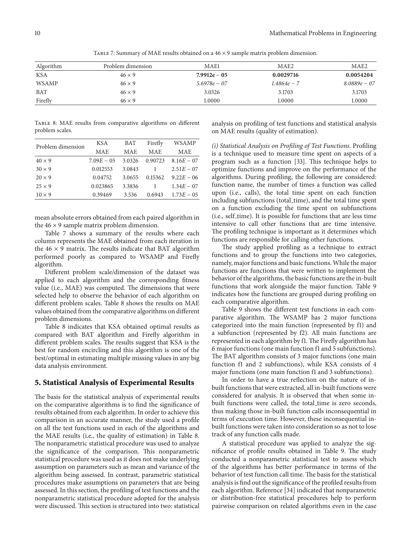| Algorithm    | Problem dimension | MAE1           | MAE <sub>2</sub> | MAE <sub>2</sub> |
|--------------|-------------------|----------------|------------------|------------------|
| KSA          | $46 \times 9$     | $7.9912e - 05$ | 0.0029716        | 0.0054204        |
| <b>WSAMP</b> | $46 \times 9$     | $5.6978e - 07$ | 1.4864e – 7      | $8.0889e - 07$   |
| <b>BAT</b>   | $46 \times 9$     | 3.0326         | 3.1703           | 3.1703           |
| Firefly      | $46 \times 9$     | 1.0000         | .0000            | .0000            |

<span id="page-9-1"></span>TABLE 7: Summary of MAE results obtained on a  $46 \times 9$  sample matrix problem dimension.

<span id="page-9-2"></span>Table 8: MAE results from comparative algorithms on different problem scales.

| Problem dimension | <b>KSA</b>   | <b>BAT</b> | Firefly    | <b>WSAMP</b> |
|-------------------|--------------|------------|------------|--------------|
|                   | <b>MAE</b>   | <b>MAE</b> | <b>MAE</b> | MAE          |
| $40 \times 9$     | $7.09E - 05$ | 3.0326     | 0.90723    | $8.16E - 07$ |
| $30 \times 9$     | 0.012553     | 3.0843     |            | $2.51E - 07$ |
| $20 \times 9$     | 0.04752      | 3.0655     | 0.15362    | $9.22E - 06$ |
| $25 \times 9$     | 0.023865     | 3.3836     |            | $1.34E - 07$ |
| $10 \times 9$     | 0.39469      | 3.536      | 0.6943     | $1.73E - 05$ |

mean absolute errors obtained from each paired algorithm in the  $46 \times 9$  sample matrix problem dimension.

Table [7](#page-9-1) shows a summary of the results where each column represents the MAE obtained from each iteration in the  $46 \times 9$  matrix. The results indicate that BAT algorithm performed poorly as compared to WSAMP and Firefly algorithm.

Different problem scale/dimension of the dataset was applied to each algorithm and the corresponding fitness value (i.e., MAE) was computed. The dimensions that were selected help to observe the behavior of each algorithm on different problem scales. Table [8](#page-9-2) shows the results on MAE values obtained from the comparative algorithms on different problem dimensions.

Table [8](#page-9-2) indicates that KSA obtained optimal results as compared with BAT algorithm and Firefly algorithm in different problem scales. The results suggest that KSA is the best for random encircling and this algorithm is one of the best/optimal in estimating multiple missing values in any big data analysis environment.

#### <span id="page-9-0"></span>**5. Statistical Analysis of Experimental Results**

The basis for the statistical analysis of experimental results on the comparative algorithms is to find the significance of results obtained from each algorithm. In order to achieve this comparison in an accurate manner, the study used a profile on all the test functions used in each of the algorithms and the MAE results (i.e., the quality of estimation) in Table [8.](#page-9-2) The nonparametric statistical procedure was used to analyze the significance of the comparison. This nonparametric statistical procedure was used as it does not make underlying assumption on parameters such as mean and variance of the algorithm being assessed. In contrast, parametric statistical procedures make assumptions on parameters that are being assessed. In this section, the profiling of test functions and the nonparametric statistical procedure adopted for the analysis were discussed. This section is structured into two: statistical

analysis on profiling of test functions and statistical analysis on MAE results (quality of estimation).

*(i) Statistical Analysis on Profiling of Test Functions*. Profiling is a technique used to measure time spent on aspects of a program such as a function [\[33](#page-15-21)]. This technique helps to optimize functions and improve on the performance of the algorithms. During profiling, the following are considered: function name, the number of times a function was called upon (i.e., calls), the total time spent on each function including subfunctions (total\_time), and the total time spent on a function excluding the time spent on subfunctions (i.e., self time). It is possible for functions that are less time intensive to call other functions that are time intensive. The profiling technique is important as it determines which functions are responsible for calling other functions.

The study applied profiling as a technique to extract functions and to group the functions into two categories, namely, major functions and basic functions.While the major functions are functions that were written to implement the behavior of the algorithms, the basic functions are the in-built functions that work alongside the major function. Table [9](#page-10-0) indicates how the functions are grouped during profiling on each comparative algorithm.

Table [9](#page-10-0) shows the different test functions in each comparative algorithm. The WSAMP has 2 major functions categorized into the main function (represented by f1) and a subfunction (represented by f2). All main functions are represented in each algorithm by f1. The Firefly algorithm has 6 major functions (one main function f1 and 5 subfunctions). The BAT algorithm consists of 3 major functions (one main function f1 and 2 subfunctions), while KSA consists of 4 major functions (one main function f1 and 3 subfunctions).

In order to have a true reflection on the nature of inbuilt functions that were extracted, all in-built functions were considered for analysis. It is observed that when some inbuilt functions were called, the total\_time is zero seconds, thus making those in-built function calls inconsequential in terms of execution time. However, these inconsequential inbuilt functions were taken into consideration so as not to lose track of any function calls made.

A statistical procedure was applied to analyze the significance of profile results obtained in Table [9.](#page-10-0) The study conducted a nonparametric statistical test to assess which of the algorithms has better performance in terms of the behavior of test function call time. The basis for the statistical analysis is find out the significance of the profiled results from each algorithm. Reference [\[34](#page-15-22)] indicated that nonparametric or distribution-free statistical procedures help to perform pairwise comparison on related algorithms even in the case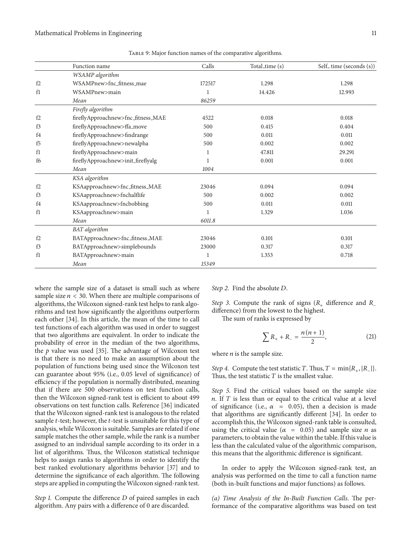|                | Function name                      | Calls        | Total_time (s) | Self <sub>-time</sub> (seconds (s)) |
|----------------|------------------------------------|--------------|----------------|-------------------------------------|
|                | WSAMP algorithm                    |              |                |                                     |
| f2             | WSAMPnew>fnc_fitness_mae           | 172517       | 1.298          | 1.298                               |
| f1             | WSAMPnew>main                      | $\mathbf{1}$ | 14.426         | 12.993                              |
|                | Mean                               | 86259        |                |                                     |
|                | Firefly algorithm                  |              |                |                                     |
| f2             | fireflyApproachnew>fnc_fitness_MAE | 4522         | 0.018          | 0.018                               |
| f3             | fireflyApproachnew>ffa_move        | 500          | 0.415          | 0.404                               |
| f <sub>4</sub> | fireflyApproachnew>findrange       | 500          | 0.011          | 0.011                               |
| f5             | fireflyApproachnew>newalpha        | 500          | 0.002          | 0.002                               |
| f1             | fireflyApproachnew>main            | 1            | 47.811         | 29.291                              |
| f6             | fireflyApproachnew>init_fireflyalg | 1            | 0.001          | 0.001                               |
|                | Mean                               | 1004         |                |                                     |
|                | KSA algorithm                      |              |                |                                     |
| f2             | KSAapproachnew>fnc_fitness_MAE     | 23046        | 0.094          | 0.094                               |
| f3             | KSAapproachnew>fnchalflife         | 500          | 0.002          | 0.002                               |
| f4             | KSAapproachnew>fncbobbing          | 500          | 0.011          | 0.011                               |
| f1             | KSAapproachnew>main                |              | 1.329          | 1.036                               |
|                | Mean                               | 6011.8       |                |                                     |
|                | <b>BAT</b> algorithm               |              |                |                                     |
| f2             | BATApproachnew>fnc_fitness_MAE     | 23046        | 0.101          | 0.101                               |
| f3             | BATApproachnew>simplebounds        | 23000        | 0.317          | 0.317                               |
| f1             | BATApproachnew>main                |              | 1.353          | 0.718                               |
|                | Mean                               | 15349        |                |                                     |

<span id="page-10-0"></span>TABLE 9: Major function names of the comparative algorithms.

where the sample size of a dataset is small such as where sample size  $n < 30$ . When there are multiple comparisons of algorithms, the Wilcoxon signed-rank test helps to rank algorithms and test how significantly the algorithms outperform each other [\[34](#page-15-22)]. In this article, the mean of the time to call test functions of each algorithm was used in order to suggest that two algorithms are equivalent. In order to indicate the probability of error in the median of the two algorithms, the *p* value was used [\[35](#page-15-23)]. The advantage of Wilcoxon test is that there is no need to make an assumption about the population of functions being used since the Wilcoxon test can guarantee about 95% (i.e., 0.05 level of significance) of efficiency if the population is normally distributed, meaning that if there are 500 observations on test function calls, then the Wilcoxon signed-rank test is efficient to about 499 observations on test function calls. Reference [\[36\]](#page-15-24) indicated that the Wilcoxon signed-rank test is analogous to the related sample  $t$ -test; however, the  $t$ -test is unsuitable for this type of analysis, while Wilcoxon is suitable. Samples are related if one sample matches the other sample, while the rank is a number assigned to an individual sample according to its order in a list of algorithms. Thus, the Wilcoxon statistical technique helps to assign ranks to algorithms in order to identify the best ranked evolutionary algorithms behavior [\[37\]](#page-15-25) and to determine the significance of each algorithm. The following steps are applied in computing theWilcoxon signed-rank test.

*Step 1.* Compute the difference *D* of paired samples in each algorithm. Any pairs with a difference of 0 are discarded.

#### *Step 2.* Find the absolute *D*.

*Step 3.* Compute the rank of signs  $(R_+$  difference and  $R_$ difference) from the lowest to the highest.

The sum of ranks is expressed by

$$
\sum R_{+} + R_{-} = \frac{n(n+1)}{2}, \qquad (21)
$$

where  $n$  is the sample size.

*Step 4.* Compute the test statistic *T*. Thus,  $T = \min\{R_+, |R_-\| \}.$ Thus, the test statistic  $T$  is the smallest value.

*Step 5.* Find the critical values based on the sample size  $n.$  If  $T$  is less than or equal to the critical value at a level of significance (i.e.,  $\alpha$  = 0.05), then a decision is made that algorithms are significantly different [\[34](#page-15-22)]. In order to accomplish this, the Wilcoxon signed-rank table is consulted, using the critical value ( $\alpha$  = 0.05) and sample size *n* as parameters, to obtain the value within the table. If this value is less than the calculated value of the algorithmic comparison, this means that the algorithmic difference is significant.

In order to apply the Wilcoxon signed-rank test, an analysis was performed on the time to call a function name (both in-built functions and major functions) as follows.

*(a) Time Analysis of the In-Built Function Calls*. The performance of the comparative algorithms was based on test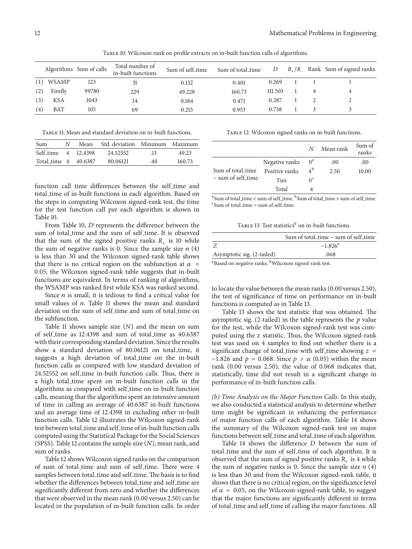|     |            | Algorithms Sum of calls | Total number of<br>in-built functions | Sum of self_time | Sum of total_time | D       |  | $R_{+}/R_{-}$ Rank Sum of signed ranks |
|-----|------------|-------------------------|---------------------------------------|------------------|-------------------|---------|--|----------------------------------------|
| (1) | WSAMP      | 123                     | 31                                    | 0.132            | 0.401             | 0.269   |  |                                        |
| (2) | Firefly    | 99780                   | 229                                   | 49.228           | 160.73            | 111.503 |  |                                        |
| (3) | <b>KSA</b> | 1043                    | 34                                    | 0.184            | 0.471             | 0.287   |  |                                        |
| (4) | <b>BAT</b> | 105                     | 69                                    | 0.215            | 0.953             | 0.738   |  |                                        |

<span id="page-11-0"></span>Table 10: Wilcoxon rank on profile extracts on in-built function calls of algorithms.

<span id="page-11-1"></span>TABLE 11: Mean and standard deviation on in-built functions.

| Sum                  | N | Mean      | Std. deviation Minimum Maximum |     |        |
|----------------------|---|-----------|--------------------------------|-----|--------|
| Self_time            |   | 4 12.4398 | 24.52552                       | .13 | 49.23  |
| Total time 4 40.6387 |   |           | 80.06121                       | .40 | 160.73 |

function call time differences between the self\_time and total time of in-built functions in each algorithm. Based on the steps in computing Wilcoxon signed-rank test, the time for the test function call per each algorithm is shown in Table [10.](#page-11-0)

From Table [10,](#page-11-0) *D* represents the difference between the sum of total\_time and the sum of self\_time. It is observed that the sum of the signed positive ranks  $R_{+}$  is 10 while the sum of negative ranks is 0. Since the sample size  $n(4)$ is less than 30 and the Wilcoxon signed-rank table shows that there is no critical region on the subfunction at  $\alpha$  = 0.05, the Wilcoxon signed-rank table suggests that in-built functions are equivalent. In terms of ranking of algorithms, the WSAMP was ranked first while KSA was ranked second.

Since  $n$  is small, it is tedious to find a critical value for small values of  $n$ . Table [11](#page-11-1) shows the mean and standard deviation on the sum of self time and sum of total time on the subfunction.

Table [11](#page-11-1) shows sample size  $(N)$  and the mean on sum of self time as 12.4398 and sum of total time as 40.6387 with their corresponding standard deviation. Since the results show a standard deviation of 80.06121 on total time, it suggests a high deviation of total time on the in-built function calls as compared with low standard deviation of 24.52552 on self time in-built function calls. Thus, there is a high total time spent on in-built function calls in the algorithms as compared with self time on in-built function calls, meaning that the algorithms spent an intensive amount of time in calling an average of 40.6387 in-built functions and an average time of 12.4398 in excluding other in-built function calls. Table [12](#page-11-2) illustrates the Wilcoxon signed-rank test between total\_time and self\_time of in-built function calls computed using the Statistical Package for the Social Sciences (SPSS). Table [12](#page-11-2) contains the sample size  $(N)$ , mean rank, and sum of ranks.

Table [12](#page-11-2) shows Wilcoxon signed ranks on the comparison of sum of total time and sum of self time. There were 4 samples between total\_time and self\_time. The basis is to find whether the differences between total\_time and self\_time are significantly different from zero and whether the differences that were observed in the mean rank (0.00 versus 2.50) can be located in the population of in-built function calls. In order

<span id="page-11-2"></span>TABLE 12: Wilcoxon signed ranks on in-built functions.

|                    |                                                      | N              | Mean rank | Sum of<br>ranks |
|--------------------|------------------------------------------------------|----------------|-----------|-----------------|
|                    | Negative ranks                                       | $0^{\rm a}$    | .00       | .00             |
| Sum of total_time  | Positive ranks                                       | 4 <sup>b</sup> | 2.50      | 10.00           |
| - sum of self_time | Ties                                                 | $0^{\circ}$    |           |                 |
|                    | Total                                                |                |           |                 |
| $\sim$             | ь<br>the contract of the contract of the contract of |                |           |                 |

<sup>a</sup>Sum of total\_time < sum of self\_time.  $^{b}$ Sum of total\_time > sum of self\_time.  $c$ Sum of total\_time = sum of self\_time.

<span id="page-11-3"></span>TABLE 13: Test statistics<sup>b</sup> on in-built functions.

|                            | Sum of total_time $-$ sum of self_time |
|----------------------------|----------------------------------------|
|                            | $-1.826$ <sup>a</sup>                  |
| Asymptotic sig. (2-tailed) | .068                                   |
|                            |                                        |

<sup>a</sup>Based on negative ranks. <sup>b</sup>Wilcoxon signed-rank test.

to locate the value between the mean ranks (0.00 versus 2.50), the test of significance of time on performance on in-built functions is computed as in Table [13.](#page-11-3)

Table [13](#page-11-3) shows the test statistic that was obtained. The asymptotic sig. (2-tailed) in the table represents the  $p$  value for the test, while the Wilcoxon signed-rank test was computed using the  $z$  statistic. Thus, the Wilcoxon signed-rank test was used on 4 samples to find out whether there is a significant change of total time with self-time showing  $z =$ −1.826 and  $p = 0.068$ . Since  $p > \alpha$  (0.05) within the mean rank (0.00 versus 2.50), the value of 0.068 indicates that, statistically, time did not result in a significant change in performance of in-built function calls.

*(b) Time Analysis on the Major Function Calls*. In this study, we also conducted a statistical analysis to determine whether time might be significant in enhancing the performance of major function calls of each algorithm. Table [14](#page-12-0) shows the summary of the Wilcoxon signed-rank test on major functions between self\_time and total\_time of each algorithm.

Table [14](#page-12-0) shows the difference  $D$  between the sum of total time and the sum of self time of each algorithm. It is observed that the sum of signed positive ranks  $R_{+}$  is 4 while the sum of negative ranks is 0. Since the sample size  $n(4)$ is less than 30 and from the Wilcoxon signed-rank table, it shows that there is no critical region, on the significance level of  $\alpha = 0.05$ , on the Wilcoxon signed-rank table, to suggest that the major functions are significantly different in terms of total\_time and self\_time of calling the major functions. All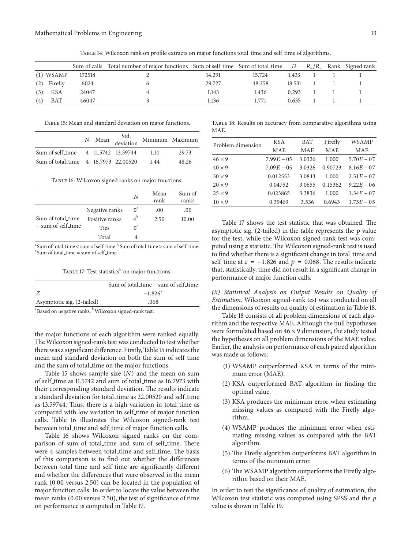|     |               |        | Sum of calls Total number of major functions Sum of self-time Sum of total-time $D$ $R_{\perp}/R_{\perp}$ Rank Signed rank |        |        |        |  |  |
|-----|---------------|--------|----------------------------------------------------------------------------------------------------------------------------|--------|--------|--------|--|--|
|     | $(1)$ WSAMP   | 172518 |                                                                                                                            | 14.291 | 15.724 | 1.433  |  |  |
|     | $(2)$ Firefly | 6024   |                                                                                                                            | 29.727 | 48.258 | 18.531 |  |  |
| (3) | KSA           | 24047  |                                                                                                                            | 1.143  | 1.436  | 0.293  |  |  |
| (4) | BAT           | 46047  |                                                                                                                            | 1.136  | 1.771  | 0.635  |  |  |

<span id="page-12-0"></span>TABLE 14: Wilcoxon rank on profile extracts on major functions total\_time and self\_time of algorithms.

<span id="page-12-1"></span>TABLE 15: Mean and standard deviation on major functions.

|                                      |  |      | N Mean Std. Minimum Maximum |
|--------------------------------------|--|------|-----------------------------|
| Sum of self_time 4 11.5742 13.59744  |  | 1.14 | 29.73                       |
| Sum of total_time 4 16.7973 22.00520 |  | 1.44 | 48.26                       |

<span id="page-12-2"></span>TABLE 16: Wilcoxon signed ranks on major functions.

|                    |                | N              | Mean<br>rank | Sum of<br>ranks |
|--------------------|----------------|----------------|--------------|-----------------|
|                    | Negative ranks | $0^a$          | .00          | .00             |
| Sum of total time  | Positive ranks | 4 <sup>b</sup> | 2.50         | 10.00           |
| - sum of self_time | <b>Ties</b>    | $0^{\circ}$    |              |                 |
|                    | Total          |                |              |                 |

 $\frac{a}{\sqrt{2}}$ Sum of total\_time < sum of self\_time.  $\frac{b}{\sqrt{2}}$ Sum of total\_time > sum of self\_time.  $\textdegree$ Sum of total\_time = sum of self\_time.

<span id="page-12-3"></span>TABLE 17: Test statistics<sup>b</sup> on major functions.

|                            | Sum of total_time $-$ sum of self_time |
|----------------------------|----------------------------------------|
|                            | $-1.826$ <sup>a</sup>                  |
| Asymptotic sig. (2-tailed) | .068                                   |
|                            |                                        |

a<br>Based on negative ranks. <sup>b</sup>Wilcoxon signed-rank test.

the major functions of each algorithm were ranked equally. The Wilcoxon signed-rank test was conducted to test whether there was a significant difference. Firstly, Table [15](#page-12-1) indicates the mean and standard deviation on both the sum of self time and the sum of total\_time on the major functions.

Table [15](#page-12-1) shows sample size  $(N)$  and the mean on sum of self time as 11.5742 and sum of total time as 16.7973 with their corresponding standard deviation. The results indicate a standard deviation for total\_time as 22.00520 and self\_time as 13.59744. Thus, there is a high variation in total time as compared with low variation in self time of major function calls. Table [16](#page-12-2) illustrates the Wilcoxon signed-rank test between total\_time and self\_time of major function calls.

Table [16](#page-12-2) shows Wilcoxon signed ranks on the comparison of sum of total\_time and sum of self\_time. There were 4 samples between total time and self time. The basis of this comparison is to find out whether the differences between total time and self time are significantly different and whether the differences that were observed in the mean rank (0.00 versus 2.50) can be located in the population of major function calls. In order to locate the value between the mean ranks (0.00 versus 2.50), the test of significance of time on performance is computed in Table [17.](#page-12-3)

<span id="page-12-4"></span>Table 18: Results on accuracy from comparative algorithms using MAE.

| Problem dimension | <b>KSA</b>   | <b>BAT</b> | Firefly    | <b>WSAMP</b> |
|-------------------|--------------|------------|------------|--------------|
|                   | <b>MAE</b>   | <b>MAE</b> | <b>MAE</b> | <b>MAE</b>   |
| $46 \times 9$     | $7.99E - 05$ | 3.0326     | 1.000      | $5.70E - 07$ |
| $40 \times 9$     | $7.09E - 05$ | 3.0326     | 0.90723    | $8.16E - 07$ |
| $30 \times 9$     | 0.012553     | 3.0843     | 1.000      | $2.51E - 07$ |
| $20 \times 9$     | 0.04752      | 3.0655     | 0.15362    | $9.22E - 06$ |
| $25 \times 9$     | 0.023865     | 3.3836     | 1.000      | $1.34E - 07$ |
| $10 \times 9$     | 0.39469      | 3.536      | 0.6943     | $1.73E - 05$ |

Table [17](#page-12-3) shows the test statistic that was obtained. The asymptotic sig. (2-tailed) in the table represents the  $p$  value for the test, while the Wilcoxon signed-rank test was computed using  $z$  statistic. The Wilcoxon signed-rank test is used to find whether there is a significant change in total\_time and self\_time at  $z = -1.826$  and  $p = 0.068$ . The results indicate that, statistically, time did not result in a significant change in performance of major function calls.

*(ii) Statistical Analysis on Output Results on Quality of Estimation*. Wilcoxon signed-rank test was conducted on all the dimensions of results on quality of estimation in Table [18.](#page-12-4)

Table [18](#page-12-4) consists of all problem dimensions of each algorithm and the respective MAE. Although the null hypotheses were formulated based on  $46 \times 9$  dimension, the study tested the hypotheses on all problem dimensions of the MAE value. Earlier, the analysis on performance of each paired algorithm was made as follows:

- (1) WSAMP outperformed KSA in terms of the minimum error (MAE).
- (2) KSA outperformed BAT algorithm in finding the optimal value.
- (3) KSA produces the minimum error when estimating missing values as compared with the Firefly algorithm.
- (4) WSAMP produces the minimum error when estimating missing values as compared with the BAT algorithm.
- (5) The Firefly algorithm outperforms BAT algorithm in terms of the minimum error.
- (6) The WSAMP algorithm outperforms the Firefly algorithm based on their MAE.

In order to test the significance of quality of estimation, the Wilcoxon test statistic was computed using SPSS and the  $p$ value is shown in Table [19.](#page-13-0)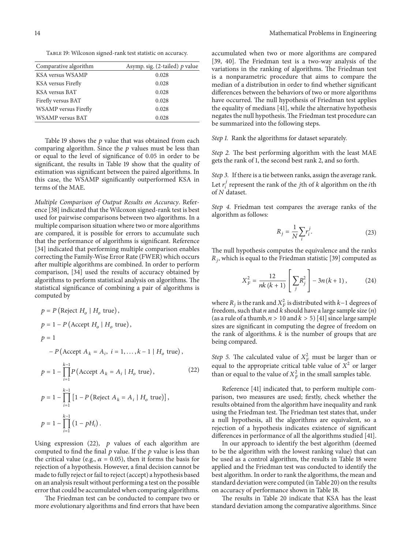<span id="page-13-0"></span>Table 19: Wilcoxon signed-rank test statistic on accuracy.

| Comparative algorithm | Asymp. sig. (2-tailed) $p$ value |
|-----------------------|----------------------------------|
| KSA versus WSAMP      | 0.028                            |
| KSA versus Firefly    | 0.028                            |
| KSA versus BAT        | 0.028                            |
| Firefly versus BAT    | 0.028                            |
| WSAMP versus Firefly  | 0.028                            |
| WSAMP versus BAT      | 0.028                            |

Table [19](#page-13-0) shows the  $p$  value that was obtained from each comparing algorithm. Since the  $p$  values must be less than or equal to the level of significance of 0.05 in order to be significant, the results in Table [19](#page-13-0) show that the quality of estimation was significant between the paired algorithms. In this case, the WSAMP significantly outperformed KSA in terms of the MAE.

*Multiple Comparison of Output Results on Accuracy*. Reference [\[38](#page-15-26)] indicated that the Wilcoxon signed-rank test is best used for pairwise comparisons between two algorithms. In a multiple comparison situation where two or more algorithms are compared, it is possible for errors to accumulate such that the performance of algorithms is significant. Reference [\[34\]](#page-15-22) indicated that performing multiple comparison enables correcting the Family-Wise Error Rate (FWER) which occurs after multiple algorithms are combined. In order to perform comparison, [\[34\]](#page-15-22) used the results of accuracy obtained by algorithms to perform statistical analysis on algorithms. The statistical significance of combining a pair of algorithms is computed by

$$
p = P(\text{Reject } H_o | H_o \text{ true}),
$$
  
\n
$$
p = 1 - P(\text{Accept } H_o | H_o \text{ true}),
$$
  
\n
$$
p = 1
$$
  
\n
$$
- P(\text{Accept } A_k = A_i, i = 1, ..., k - 1 | H_o \text{ true}),
$$
  
\n
$$
p = 1 - \prod_{i=1}^{k-1} P(\text{Accept } A_k = A_i | H_o \text{ true}),
$$
  
\n
$$
p = 1 - \prod_{i=1}^{k-1} [1 - P(\text{Reject } A_k = A_i | H_o \text{ true})],
$$
  
\n
$$
p = 1 - \prod_{i=1}^{k-1} (1 - pH_i).
$$

Using expression [\(22\),](#page-13-1)  $p$  values of each algorithm are computed to find the final  $p$  value. If the  $p$  value is less than the critical value (e.g.,  $\alpha = 0.05$ ), then it forms the basis for rejection of a hypothesis. However, a final decision cannot be made to fully reject or fail to reject (accept) a hypothesis based on an analysis result without performing a test on the possible error that could be accumulated when comparing algorithms.

 $i=1$ 

The Friedman test can be conducted to compare two or more evolutionary algorithms and find errors that have been accumulated when two or more algorithms are compared [\[39](#page-15-27), [40](#page-15-28)]. The Friedman test is a two-way analysis of the variations in the ranking of algorithms. The Friedman test is a nonparametric procedure that aims to compare the median of a distribution in order to find whether significant differences between the behaviors of two or more algorithms have occurred. The null hypothesis of Friedman test applies the equality of medians [\[41](#page-15-29)], while the alternative hypothesis negates the null hypothesis. The Friedman test procedure can be summarized into the following steps.

*Step 1.* Rank the algorithms for dataset separately.

*Step 2.* The best performing algorithm with the least MAE gets the rank of 1, the second best rank 2, and so forth.

*Step 3.* If there is a tie between ranks, assign the average rank. Let  $r_i^j$  represent the rank of the *j*th of  $k$  algorithm on the *i*th of  $N$  dataset.

*Step 4.* Friedman test compares the average ranks of the algorithm as follows:

$$
R_j = \frac{1}{N} \sum_i r_i^j. \tag{23}
$$

The null hypothesis computes the equivalence and the ranks  $R_i$ , which is equal to the Friedman statistic [\[39\]](#page-15-27) computed as

$$
X_F^2 = \frac{12}{nk(k+1)} \left[ \sum_j R_j^2 \right] - 3n(k+1), \qquad (24)
$$

where  $R_j$  is the rank and  $X_F^2$  is distributed with  $k-1$  degrees of freedom, such that *n* and *k* should have a large sample size  $(n)$ (as a rule of a thumb,  $n > 10$  and  $k > 5$ ) [\[41](#page-15-29)] since large sample sizes are significant in computing the degree of freedom on the rank of algorithms.  $k$  is the number of groups that are being compared.

<span id="page-13-1"></span>*Step 5.* The calculated value of  $X_F^2$  must be larger than or equal to the appropriate critical table value of  $X^2$  or larger than or equal to the value of  $X_F^2$  in the small samples table.

Reference [\[41](#page-15-29)] indicated that, to perform multiple comparison, two measures are used; firstly, check whether the results obtained from the algorithm have inequality and rank using the Friedman test. The Friedman test states that, under a null hypothesis, all the algorithms are equivalent, so a rejection of a hypothesis indicates existence of significant differences in performance of all the algorithms studied [\[41](#page-15-29)].

In our approach to identify the best algorithm (deemed to be the algorithm with the lowest ranking value) that can be used as a control algorithm, the results in Table [18](#page-12-4) were applied and the Friedman test was conducted to identify the best algorithm. In order to rank the algorithms, the mean and standard deviation were computed (in Table [20\)](#page-14-12) on the results on accuracy of performance shown in Table [18.](#page-12-4)

The results in Table [20](#page-14-12) indicate that KSA has the least standard deviation among the comparative algorithms. Since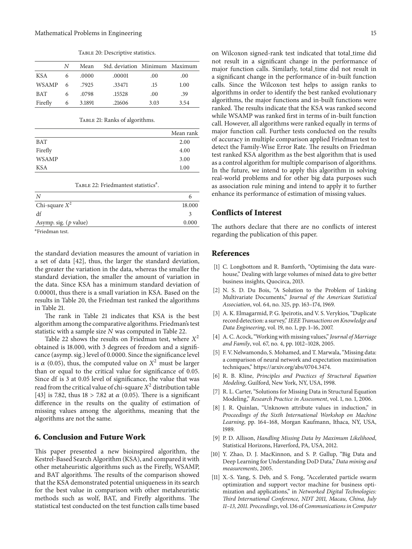<span id="page-14-12"></span>Table 20: Descriptive statistics.

|            | N | Mean   | Std. deviation Minimum Maximum |      |      |
|------------|---|--------|--------------------------------|------|------|
| KSA        | 6 | .0000  | .00001                         | .00  | .00  |
| WSAMP      | 6 | .7925  | .33471                         | .15  | 1.00 |
| <b>BAT</b> | 6 | .0798  | .15528                         | .00. | .39  |
| Firefly    | 6 | 3.1891 | .21606                         | 3.03 | 3.54 |

<span id="page-14-13"></span>TABLE 21: Ranks of algorithms.

|              | Mean rank |
|--------------|-----------|
| <b>BAT</b>   | 2.00      |
| Firefly      | 4.00      |
| <b>WSAMP</b> | 3.00      |
| KSA          | 1.00      |

<span id="page-14-14"></span>TABLE 22: Friedmantest statistics<sup>a</sup>.

| Chi-square $X^2$                | 18.000 |
|---------------------------------|--------|
| df                              |        |
| Asymp. sig. $(p \text{ value})$ | 0.000  |
| $a_{\text{Eriedman fact}}$      |        |

Friedman test.

the standard deviation measures the amount of variation in a set of data [\[42\]](#page-15-30), thus, the larger the standard deviation, the greater the variation in the data, whereas the smaller the standard deviation, the smaller the amount of variation in the data. Since KSA has a minimum standard deviation of 0.00001, thus there is a small variation in KSA. Based on the results in Table [20,](#page-14-12) the Friedman test ranked the algorithms in Table [21.](#page-14-13)

The rank in Table [21](#page-14-13) indicates that KSA is the best algorithm among the comparative algorithms. Friedman's test statistic with a sample size  $N$  was computed in Table [22.](#page-14-14)

Table [22](#page-14-14) shows the results on Friedman test, where  $X^2$ obtained is 18.000, with 3 degrees of freedom and a significance (asymp. sig.) level of 0.0000. Since the significance level is  $\alpha$  (0.05), thus, the computed value on  $X^2$  must be larger than or equal to the critical value for significance of 0.05. Since df is 3 at 0.05 level of significance, the value that was read from the critical value of chi-square  $X^2$  distribution table [\[43](#page-15-31)] is 7.82, thus  $18 > 7.82$  at  $\alpha$  (0.05). There is a significant difference in the results on the quality of estimation of missing values among the algorithms, meaning that the algorithms are not the same.

#### <span id="page-14-11"></span>**6. Conclusion and Future Work**

This paper presented a new bioinspired algorithm, the Kestrel-Based Search Algorithm (KSA), and compared it with other metaheuristic algorithms such as the Firefly, WSAMP, and BAT algorithms. The results of the comparison showed that the KSA demonstrated potential uniqueness in its search for the best value in comparison with other metaheuristic methods such as wolf, BAT, and Firefly algorithms. The statistical test conducted on the test function calls time based

on Wilcoxon signed-rank test indicated that total time did not result in a significant change in the performance of major function calls. Similarly, total\_time did not result in a significant change in the performance of in-built function calls. Since the Wilcoxon test helps to assign ranks to algorithms in order to identify the best ranked evolutionary algorithms, the major functions and in-built functions were ranked. The results indicate that the KSA was ranked second while WSAMP was ranked first in terms of in-built function call. However, all algorithms were ranked equally in terms of major function call. Further tests conducted on the results of accuracy in multiple comparison applied Friedman test to detect the Family-Wise Error Rate. The results on Friedman test ranked KSA algorithm as the best algorithm that is used as a control algorithm for multiple comparison of algorithms. In the future, we intend to apply this algorithm in solving real-world problems and for other big data purposes such as association rule mining and intend to apply it to further enhance its performance of estimation of missing values.

### **Conflicts of Interest**

The authors declare that there are no conflicts of interest regarding the publication of this paper.

#### **References**

- <span id="page-14-0"></span>[1] C. Longbottom and R. Bamforth, "Optimising the data warehouse," Dealing with large volumes of mixed data to give better business insights, Quocirca, 2013.
- <span id="page-14-1"></span>[2] N. S. D. Du Bois, "A Solution to the Problem of Linking Multivariate Documents," *Journal of the American Statistical Association*, vol. 64, no. 325, pp. 163–174, 1969.
- <span id="page-14-2"></span>[3] A. K. Elmagarmid, P. G. Ipeirotis, and V. S. Verykios, "Duplicate record detection: a survey," *IEEE Transactions on Knowledge and Data Engineering*, vol. 19, no. 1, pp. 1–16, 2007.
- <span id="page-14-3"></span>[4] A. C. Acock, "Working with missing values," *Journal of Marriage and Family*, vol. 67, no. 4, pp. 1012–1028, 2005.
- <span id="page-14-4"></span>[5] F. V. Nelwamondo, S. Mohamed, and T. Marwala, "Missing data: a comparison of neural network and expectation maximisation techniques," [https://arxiv.org/abs/0704.3474.](https://arxiv.org/abs/0704.3474)
- <span id="page-14-5"></span>[6] R. B. Kline, *Principles and Practices of Structural Equation Modeling*, Guilford, New York, NY, USA, 1998.
- <span id="page-14-6"></span>[7] R. L. Carter, "Solutions for Missing Data in Structural Equation Modeling," *Research Practice in Assessment*, vol. 1, no. 1, 2006.
- <span id="page-14-7"></span>[8] J. R. Quinlan, "Unknown attribute values in induction," in *Proceedings of the Sixth International Workshop on Machine Learning*, pp. 164–168, Morgan Kaufmann, Ithaca, NY, USA, 1989.
- <span id="page-14-8"></span>[9] P. D. Allison, *Handling Missing Data by Maximum Likelihood*, Statistical Horizons, Haverford, PA, USA, 2012.
- <span id="page-14-9"></span>[10] Y. Zhao, D. J. MacKinnon, and S. P. Gallup, "Big Data and Deep Learning for Understanding DoD Data," *Data mining and measurements*, 2005.
- <span id="page-14-10"></span>[11] X.-S. Yang, S. Deb, and S. Fong, "Accelerated particle swarm optimization and support vector machine for business optimization and applications," in *Networked Digital Technologies: Third International Conference, NDT 2011, Macau, China, July 11–13, 2011. Proceedings*, vol. 136 of*Communications in Computer*